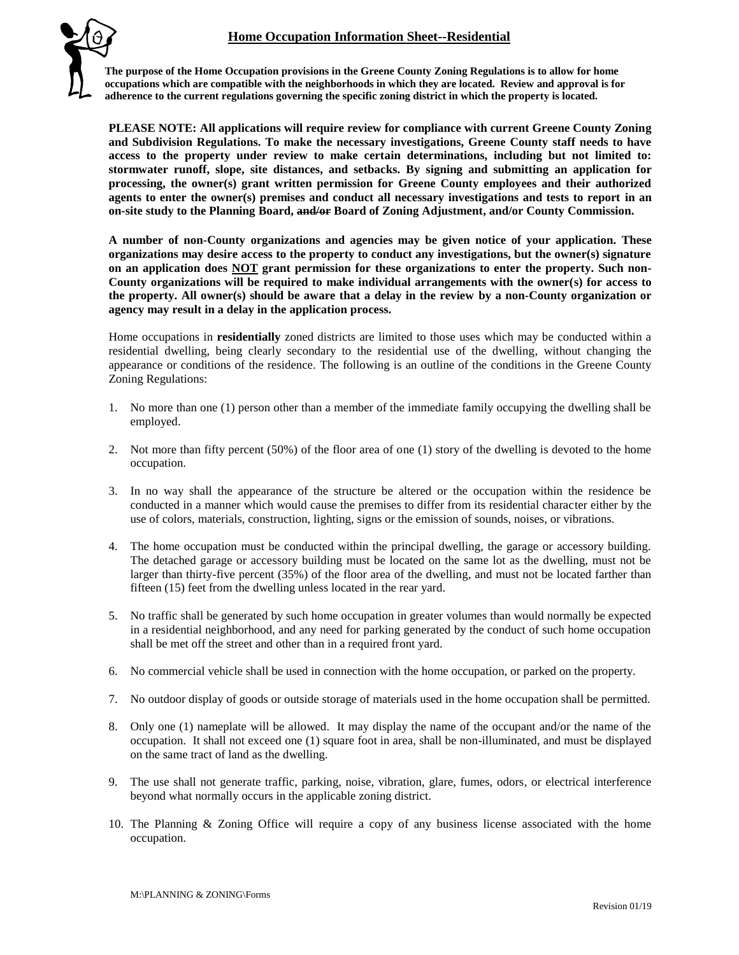## **Home Occupation Information Sheet--Residential**



**The purpose of the Home Occupation provisions in the Greene County Zoning Regulations is to allow for home occupations which are compatible with the neighborhoods in which they are located. Review and approval is for adherence to the current regulations governing the specific zoning district in which the property is located.**

**PLEASE NOTE: All applications will require review for compliance with current Greene County Zoning and Subdivision Regulations. To make the necessary investigations, Greene County staff needs to have access to the property under review to make certain determinations, including but not limited to: stormwater runoff, slope, site distances, and setbacks. By signing and submitting an application for processing, the owner(s) grant written permission for Greene County employees and their authorized agents to enter the owner(s) premises and conduct all necessary investigations and tests to report in an on-site study to the Planning Board, and/or Board of Zoning Adjustment, and/or County Commission.**

**A number of non-County organizations and agencies may be given notice of your application. These organizations may desire access to the property to conduct any investigations, but the owner(s) signature on an application does NOT grant permission for these organizations to enter the property. Such non-County organizations will be required to make individual arrangements with the owner(s) for access to the property. All owner(s) should be aware that a delay in the review by a non-County organization or agency may result in a delay in the application process.**

Home occupations in **residentially** zoned districts are limited to those uses which may be conducted within a residential dwelling, being clearly secondary to the residential use of the dwelling, without changing the appearance or conditions of the residence. The following is an outline of the conditions in the Greene County Zoning Regulations:

- 1. No more than one (1) person other than a member of the immediate family occupying the dwelling shall be employed.
- 2. Not more than fifty percent (50%) of the floor area of one (1) story of the dwelling is devoted to the home occupation.
- 3. In no way shall the appearance of the structure be altered or the occupation within the residence be conducted in a manner which would cause the premises to differ from its residential character either by the use of colors, materials, construction, lighting, signs or the emission of sounds, noises, or vibrations.
- 4. The home occupation must be conducted within the principal dwelling, the garage or accessory building. The detached garage or accessory building must be located on the same lot as the dwelling, must not be larger than thirty-five percent (35%) of the floor area of the dwelling, and must not be located farther than fifteen (15) feet from the dwelling unless located in the rear yard.
- 5. No traffic shall be generated by such home occupation in greater volumes than would normally be expected in a residential neighborhood, and any need for parking generated by the conduct of such home occupation shall be met off the street and other than in a required front yard.
- 6. No commercial vehicle shall be used in connection with the home occupation, or parked on the property.
- 7. No outdoor display of goods or outside storage of materials used in the home occupation shall be permitted.
- 8. Only one (1) nameplate will be allowed. It may display the name of the occupant and/or the name of the occupation. It shall not exceed one (1) square foot in area, shall be non-illuminated, and must be displayed on the same tract of land as the dwelling.
- 9. The use shall not generate traffic, parking, noise, vibration, glare, fumes, odors, or electrical interference beyond what normally occurs in the applicable zoning district.
- 10. The Planning & Zoning Office will require a copy of any business license associated with the home occupation.